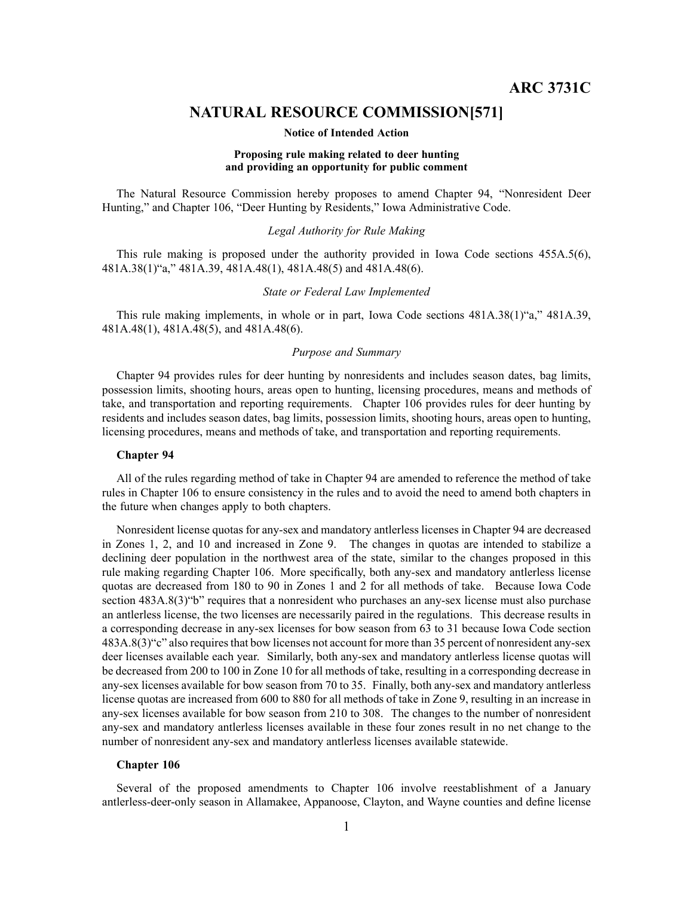# **NATURAL RESOURCE COMMISSION[571]**

#### **Notice of Intended Action**

#### **Proposing rule making related to deer hunting and providing an opportunity for public comment**

The Natural Resource Commission hereby proposes to amend Chapter 94, "Nonresident Deer Hunting," and Chapter 106, "Deer Hunting by Residents," Iowa Administrative Code.

# *Legal Authority for Rule Making*

This rule making is proposed under the authority provided in Iowa Code sections 455A.5(6), 481A.38(1)"a," 481A.39, 481A.48(1), 481A.48(5) and 481A.48(6).

# *State or Federal Law Implemented*

This rule making implements, in whole or in part, Iowa Code sections 481A.38(1)"a," 481A.39, 481A.48(1), 481A.48(5), and 481A.48(6).

# *Purpose and Summary*

Chapter 94 provides rules for deer hunting by nonresidents and includes season dates, bag limits, possession limits, shooting hours, areas open to hunting, licensing procedures, means and methods of take, and transportation and reporting requirements. Chapter 106 provides rules for deer hunting by residents and includes season dates, bag limits, possession limits, shooting hours, areas open to hunting, licensing procedures, means and methods of take, and transportation and reporting requirements.

#### **Chapter 94**

All of the rules regarding method of take in Chapter 94 are amended to reference the method of take rules in Chapter 106 to ensure consistency in the rules and to avoid the need to amend both chapters in the future when changes apply to both chapters.

Nonresident license quotas for any-sex and mandatory antlerless licenses in Chapter 94 are decreased in Zones 1, 2, and 10 and increased in Zone 9. The changes in quotas are intended to stabilize <sup>a</sup> declining deer population in the northwest area of the state, similar to the changes proposed in this rule making regarding Chapter 106. More specifically, both any-sex and mandatory antlerless license quotas are decreased from 180 to 90 in Zones 1 and 2 for all methods of take. Because Iowa Code section 483A.8(3) "b" requires that a nonresident who purchases an any-sex license must also purchase an antlerless license, the two licenses are necessarily paired in the regulations. This decrease results in <sup>a</sup> corresponding decrease in any-sex licenses for bow season from 63 to 31 because Iowa Code section 483A.8(3)"c" also requiresthat bow licenses not account for more than 35 percen<sup>t</sup> of nonresident any-sex deer licenses available each year. Similarly, both any-sex and mandatory antlerless license quotas will be decreased from 200 to 100 in Zone 10 for all methods of take, resulting in <sup>a</sup> corresponding decrease in any-sex licenses available for bow season from 70 to 35. Finally, both any-sex and mandatory antlerless license quotas are increased from 600 to 880 for all methods of take in Zone 9, resulting in an increase in any-sex licenses available for bow season from 210 to 308. The changes to the number of nonresident any-sex and mandatory antlerless licenses available in these four zones result in no net change to the number of nonresident any-sex and mandatory antlerless licenses available statewide.

#### **Chapter 106**

Several of the proposed amendments to Chapter 106 involve reestablishment of <sup>a</sup> January antlerless-deer-only season in Allamakee, Appanoose, Clayton, and Wayne counties and define license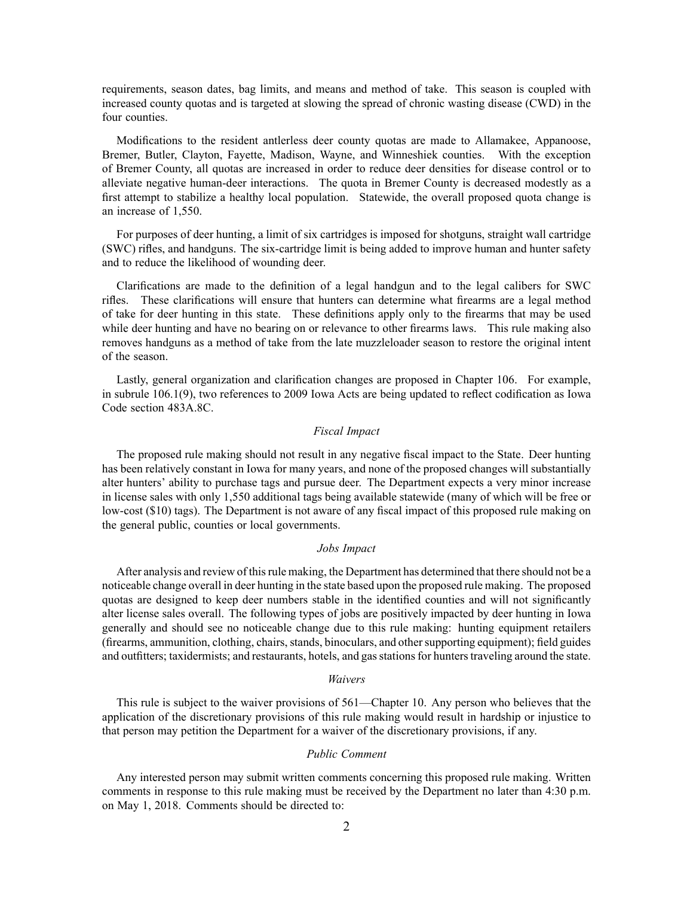requirements, season dates, bag limits, and means and method of take. This season is coupled with increased county quotas and is targeted at slowing the spread of chronic wasting disease (CWD) in the four counties.

Modifications to the resident antlerless deer county quotas are made to Allamakee, Appanoose, Bremer, Butler, Clayton, Fayette, Madison, Wayne, and Winneshiek counties. With the exception of Bremer County, all quotas are increased in order to reduce deer densities for disease control or to alleviate negative human-deer interactions. The quota in Bremer County is decreased modestly as <sup>a</sup> first attempt to stabilize <sup>a</sup> healthy local population. Statewide, the overall proposed quota change is an increase of 1,550.

For purposes of deer hunting, <sup>a</sup> limit of six cartridges is imposed for shotguns, straight wall cartridge (SWC) rifles, and handguns. The six-cartridge limit is being added to improve human and hunter safety and to reduce the likelihood of wounding deer.

Clarifications are made to the definition of <sup>a</sup> legal handgun and to the legal calibers for SWC rifles. These clarifications will ensure that hunters can determine what firearms are <sup>a</sup> legal method of take for deer hunting in this state. These definitions apply only to the firearms that may be used while deer hunting and have no bearing on or relevance to other firearms laws. This rule making also removes handguns as <sup>a</sup> method of take from the late muzzleloader season to restore the original intent of the season.

Lastly, general organization and clarification changes are proposed in Chapter 106. For example, in subrule 106.1(9), two references to 2009 Iowa Acts are being updated to reflect codification as Iowa Code section 483A.8C.

# *Fiscal Impact*

The proposed rule making should not result in any negative fiscal impact to the State. Deer hunting has been relatively constant in Iowa for many years, and none of the proposed changes will substantially alter hunters' ability to purchase tags and pursue deer. The Department expects <sup>a</sup> very minor increase in license sales with only 1,550 additional tags being available statewide (many of which will be free or low-cost (\$10) tags). The Department is not aware of any fiscal impact of this proposed rule making on the general public, counties or local governments.

# *Jobs Impact*

After analysis and review of this rule making, the Department has determined that there should not be a noticeable change overall in deer hunting in the state based upon the proposed rule making. The proposed quotas are designed to keep deer numbers stable in the identified counties and will not significantly alter license sales overall. The following types of jobs are positively impacted by deer hunting in Iowa generally and should see no noticeable change due to this rule making: hunting equipment retailers (firearms, ammunition, clothing, chairs, stands, binoculars, and other supporting equipment); field guides and outfitters; taxidermists; and restaurants, hotels, and gas stations for hunters traveling around the state.

#### *Waivers*

This rule is subject to the waiver provisions of 561—Chapter 10. Any person who believes that the application of the discretionary provisions of this rule making would result in hardship or injustice to that person may petition the Department for <sup>a</sup> waiver of the discretionary provisions, if any.

# *Public Comment*

Any interested person may submit written comments concerning this proposed rule making. Written comments in response to this rule making must be received by the Department no later than 4:30 p.m. on May 1, 2018. Comments should be directed to: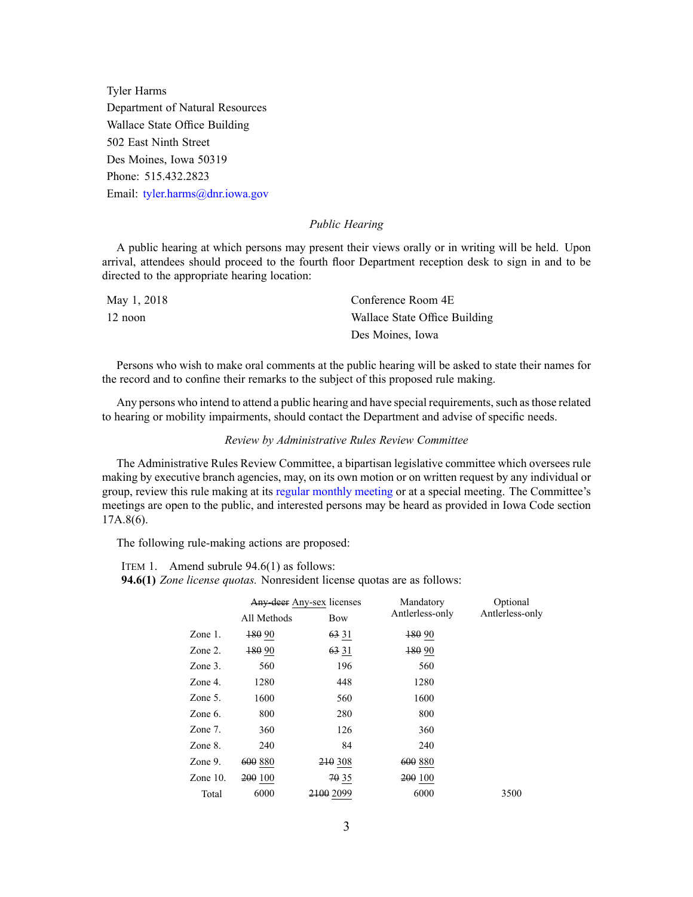Tyler Harms Department of Natural Resources Wallace State Office Building 502 East Ninth Street Des Moines, Iowa 50319 Phone: 515.432.2823 Email: [tyler.harms@dnr.iowa.gov](mailto:tyler.harms@dnr.iowa.gov)

## *Public Hearing*

A public hearing at which persons may presen<sup>t</sup> their views orally or in writing will be held. Upon arrival, attendees should proceed to the fourth floor Department reception desk to sign in and to be directed to the appropriate hearing location:

| May 1, 2018 | Conference Room 4E            |
|-------------|-------------------------------|
| $12$ noon   | Wallace State Office Building |
|             | Des Moines, Iowa              |

Persons who wish to make oral comments at the public hearing will be asked to state their names for the record and to confine their remarks to the subject of this proposed rule making.

Any persons who intend to attend a public hearing and have special requirements, such as those related to hearing or mobility impairments, should contact the Department and advise of specific needs.

# *Review by Administrative Rules Review Committee*

The Administrative Rules Review Committee, <sup>a</sup> bipartisan legislative committee which oversees rule making by executive branch agencies, may, on its own motion or on written reques<sup>t</sup> by any individual or group, review this rule making at its regular [monthly](https://www.legis.iowa.gov/committees/meetings/meetingsListComm?groupID=705&ga=87) meeting or at <sup>a</sup> special meeting. The Committee's meetings are open to the public, and interested persons may be heard as provided in Iowa Code section 17A.8(6).

The following rule-making actions are proposed:

ITEM 1. Amend subrule 94.6(1) as follows:

**94.6(1)** *Zone license quotas.* Nonresident license quotas are as follows:

|             | Any-deer Any-sex licenses |           | Mandatory       | Optional        |  |
|-------------|---------------------------|-----------|-----------------|-----------------|--|
|             | All Methods               | Bow       | Antlerless-only | Antlerless-only |  |
| Zone $1$ .  | $+8090$                   | 63 31     | $+80.90$        |                 |  |
| Zone 2.     | 180 90                    | 63 31     | 480 90          |                 |  |
| Zone $3$ .  | 560                       | 196       | 560             |                 |  |
| Zone 4.     | 1280                      | 448       | 1280            |                 |  |
| Zone 5.     | 1600                      | 560       | 1600            |                 |  |
| Zone 6.     | 800                       | 280       | 800             |                 |  |
| Zone 7.     | 360                       | 126       | 360             |                 |  |
| Zone 8.     | 240                       | 84        | 240             |                 |  |
| Zone 9.     | 600 880                   | 210 308   | 600 880         |                 |  |
| Zone $10$ . | 200 100                   | 70 35     | 200 100         |                 |  |
| Total       | 6000                      | 2100 2099 | 6000            | 3500            |  |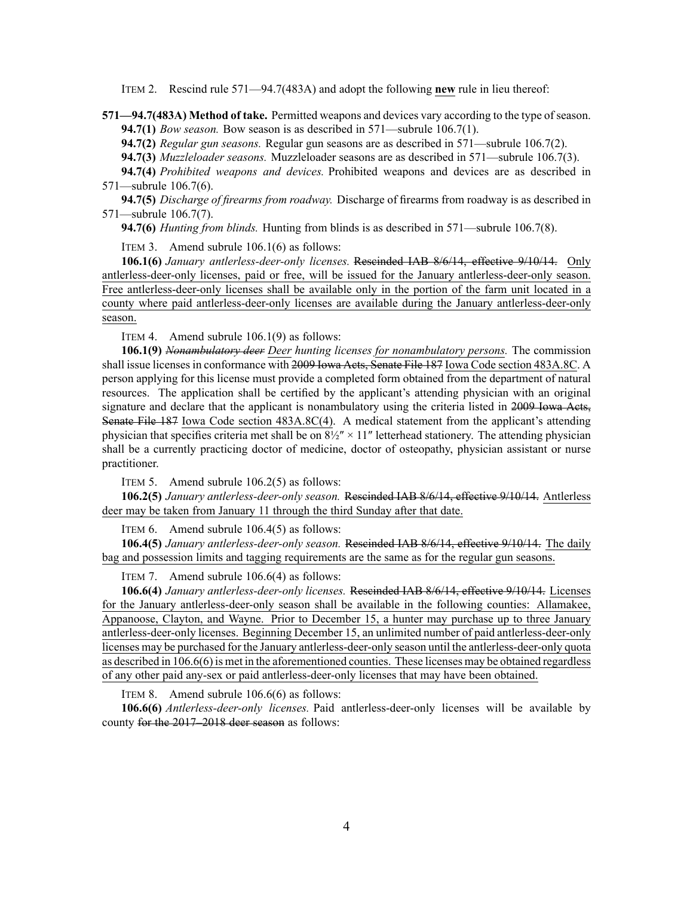ITEM 2. Rescind rule 571—94.7(483A) and adopt the following **new** rule in lieu thereof:

**571—94.7(483A) Method of take.** Permitted weapons and devices vary according to the type of season. **94.7(1)** *Bow season.* Bow season is as described in 571—subrule 106.7(1).

**94.7(2)** *Regular gun seasons.* Regular gun seasons are as described in 571—subrule 106.7(2).

**94.7(3)** *Muzzleloader seasons.* Muzzleloader seasons are as described in 571—subrule 106.7(3).

**94.7(4)** *Prohibited weapons and devices.* Prohibited weapons and devices are as described in 571—subrule 106.7(6).

**94.7(5)** *Discharge of firearms from roadway.* Discharge of firearms from roadway is as described in 571—subrule 106.7(7).

**94.7(6)** *Hunting from blinds.* Hunting from blinds is as described in 571—subrule 106.7(8).

ITEM 3. Amend subrule 106.1(6) as follows:

**106.1(6)** *January antlerless-deer-only licenses.* Rescinded IAB [8/6/14](https://www.legis.iowa.gov/docs/aco/bulletin/08-06-2014.pdf), effective 9/10/14. Only antlerless-deer-only licenses, paid or free, will be issued for the January antlerless-deer-only season. Free antlerless-deer-only licenses shall be available only in the portion of the farm unit located in <sup>a</sup> county where paid antlerless-deer-only licenses are available during the January antlerless-deer-only season.

ITEM 4. Amend subrule 106.1(9) as follows:

**106.1(9)** *Nonambulatory deer Deer hunting licenses for nonambulatory persons.* The commission shall issue licenses in conformance with 2009 Iowa Acts, Senate File 187 Iowa Code section [483A.8C](https://www.legis.iowa.gov/docs/ico/section/2018/483A.8C.pdf). A person applying for this license must provide <sup>a</sup> completed form obtained from the department of natural resources. The application shall be certified by the applicant's attending physician with an original signature and declare that the applicant is nonambulatory using the criteria listed in 2009 Iowa Acts, Senate File 187 Iowa Code section [483A.8C\(4\)](https://www.legis.iowa.gov/docs/ico/section/2018/483A.8C.pdf). A medical statement from the applicant's attending physician that specifies criteria met shall be on  $8\frac{1}{2}$  × 11" letterhead stationery. The attending physician shall be <sup>a</sup> currently practicing doctor of medicine, doctor of osteopathy, physician assistant or nurse practitioner.

ITEM 5. Amend subrule 106.2(5) as follows:

**106.2(5)** *January antlerless-deer-only season.* Rescinded IAB [8/6/14](https://www.legis.iowa.gov/docs/aco/bulletin/08-06-2014.pdf), effective 9/10/14. Antlerless deer may be taken from January 11 through the third Sunday after that date.

ITEM 6. Amend subrule 106.4(5) as follows:

**106.4(5)** *January antlerless-deer-only season.* Rescinded IAB [8/6/14](https://www.legis.iowa.gov/docs/aco/bulletin/08-06-2014.pdf), effective 9/10/14. The daily bag and possession limits and tagging requirements are the same as for the regular gun seasons.

ITEM 7. Amend subrule 106.6(4) as follows:

**106.6(4)** *January antlerless-deer-only licenses.* Rescinded IAB [8/6/14](https://www.legis.iowa.gov/docs/aco/bulletin/08-06-2014.pdf), effective 9/10/14. Licenses for the January antlerless-deer-only season shall be available in the following counties: Allamakee, Appanoose, Clayton, and Wayne. Prior to December 15, <sup>a</sup> hunter may purchase up to three January antlerless-deer-only licenses. Beginning December 15, an unlimited number of paid antlerless-deer-only licenses may be purchased for the January antlerless-deer-only season until the antlerless-deer-only quota as described in 106.6(6) is met in the aforementioned counties. These licenses may be obtained regardless of any other paid any-sex or paid antlerless-deer-only licenses that may have been obtained.

ITEM 8. Amend subrule 106.6(6) as follows:

**106.6(6)** *Antlerless-deer-only licenses.* Paid antlerless-deer-only licenses will be available by county for the 2017–2018 deer season as follows: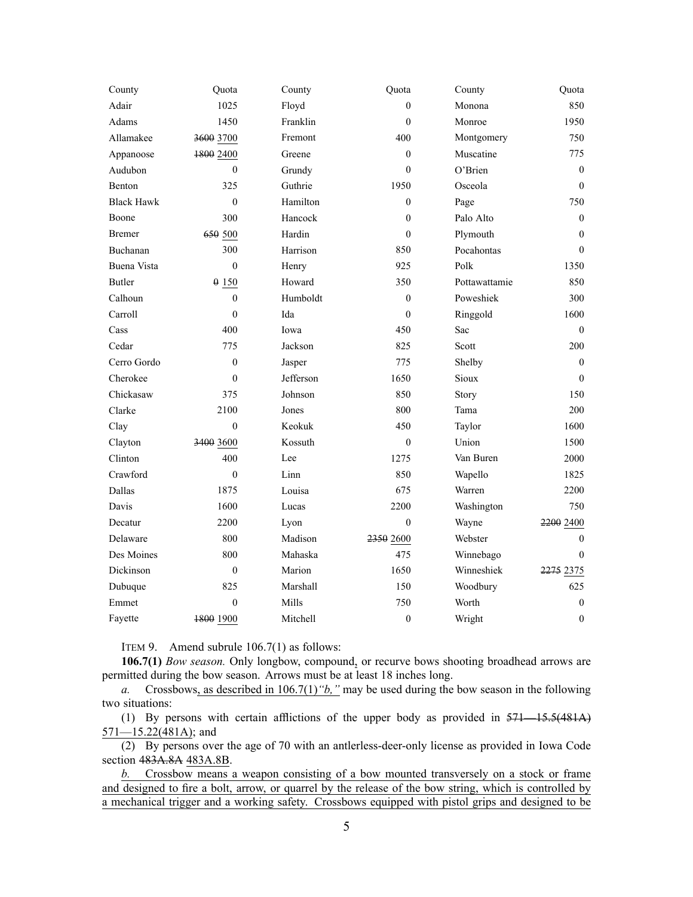| County            | Quota            | County    | Quota            | County        | Quota            |
|-------------------|------------------|-----------|------------------|---------------|------------------|
| Adair             | 1025             | Floyd     | $\overline{0}$   | Monona        | 850              |
| Adams             | 1450             | Franklin  | $\theta$         | Monroe        | 1950             |
| Allamakee         | 3600 3700        | Fremont   | 400              | Montgomery    | 750              |
| Appanoose         | 1800 2400        | Greene    | $\overline{0}$   | Muscatine     | 775              |
| Audubon           | $\mathbf{0}$     | Grundy    | $\overline{0}$   | O'Brien       | $\boldsymbol{0}$ |
| Benton            | 325              | Guthrie   | 1950             | Osceola       | $\boldsymbol{0}$ |
| <b>Black Hawk</b> | $\mathbf{0}$     | Hamilton  | $\overline{0}$   | Page          | 750              |
| Boone             | 300              | Hancock   | $\overline{0}$   | Palo Alto     | $\boldsymbol{0}$ |
| <b>Bremer</b>     | 650 500          | Hardin    | $\theta$         | Plymouth      | $\mathbf{0}$     |
| Buchanan          | 300              | Harrison  | 850              | Pocahontas    | $\mathbf{0}$     |
| Buena Vista       | $\theta$         | Henry     | 925              | Polk          | 1350             |
| <b>Butler</b>     | 0150             | Howard    | 350              | Pottawattamie | 850              |
| Calhoun           | $\overline{0}$   | Humboldt  | $\boldsymbol{0}$ | Poweshiek     | 300              |
| Carroll           | $\theta$         | Ida       | $\theta$         | Ringgold      | 1600             |
| Cass              | 400              | Iowa      | 450              | Sac           | $\boldsymbol{0}$ |
| Cedar             | 775              | Jackson   | 825              | Scott         | 200              |
| Cerro Gordo       | $\boldsymbol{0}$ | Jasper    | 775              | Shelby        | $\boldsymbol{0}$ |
| Cherokee          | $\theta$         | Jefferson | 1650             | Sioux         | $\boldsymbol{0}$ |
| Chickasaw         | 375              | Johnson   | 850              | Story         | 150              |
| Clarke            | 2100             | Jones     | 800              | Tama          | 200              |
| Clay              | $\theta$         | Keokuk    | 450              | Taylor        | 1600             |
| Clayton           | 3400 3600        | Kossuth   | $\overline{0}$   | Union         | 1500             |
| Clinton           | 400              | Lee       | 1275             | Van Buren     | 2000             |
| Crawford          | $\overline{0}$   | Linn      | 850              | Wapello       | 1825             |
| Dallas            | 1875             | Louisa    | 675              | Warren        | 2200             |
| Davis             | 1600             | Lucas     | 2200             | Washington    | 750              |
| Decatur           | 2200             | Lyon      | $\overline{0}$   | Wayne         | 2200 2400        |
| Delaware          | 800              | Madison   | 2350 2600        | Webster       | $\mathbf{0}$     |
| Des Moines        | 800              | Mahaska   | 475              | Winnebago     | $\theta$         |
| Dickinson         | $\boldsymbol{0}$ | Marion    | 1650             | Winneshiek    | 2275 2375        |
| Dubuque           | 825              | Marshall  | 150              | Woodbury      | 625              |
| Emmet             | $\theta$         | Mills     | 750              | Worth         | $\boldsymbol{0}$ |
| Fayette           | 1800 1900        | Mitchell  | $\boldsymbol{0}$ | Wright        | $\boldsymbol{0}$ |

ITEM 9. Amend subrule 106.7(1) as follows:

**106.7(1)** *Bow season.* Only longbow, compound, or recurve bows shooting broadhead arrows are permitted during the bow season. Arrows must be at least 18 inches long.

*a.* Crossbows, as described in 106.7(1)*"b,"* may be used during the bow season in the following two situations:

(1) By persons with certain afflictions of the upper body as provided in [571—15.5](https://www.legis.iowa.gov/docs/iac/rule/571.15.5.pdf)(481A) 571—15.22(481A); and

(2) By persons over the age of 70 with an antlerless-deer-only license as provided in Iowa Code section [483A.8A](https://www.legis.iowa.gov/docs/ico/section/483A.8A.pdf) [483A.8B](https://www.legis.iowa.gov/docs/ico/section/2018/483A.8B.pdf).

*b.* Crossbow means <sup>a</sup> weapon consisting of <sup>a</sup> bow mounted transversely on <sup>a</sup> stock or frame and designed to fire <sup>a</sup> bolt, arrow, or quarrel by the release of the bow string, which is controlled by <sup>a</sup> mechanical trigger and <sup>a</sup> working safety. Crossbows equipped with pistol grips and designed to be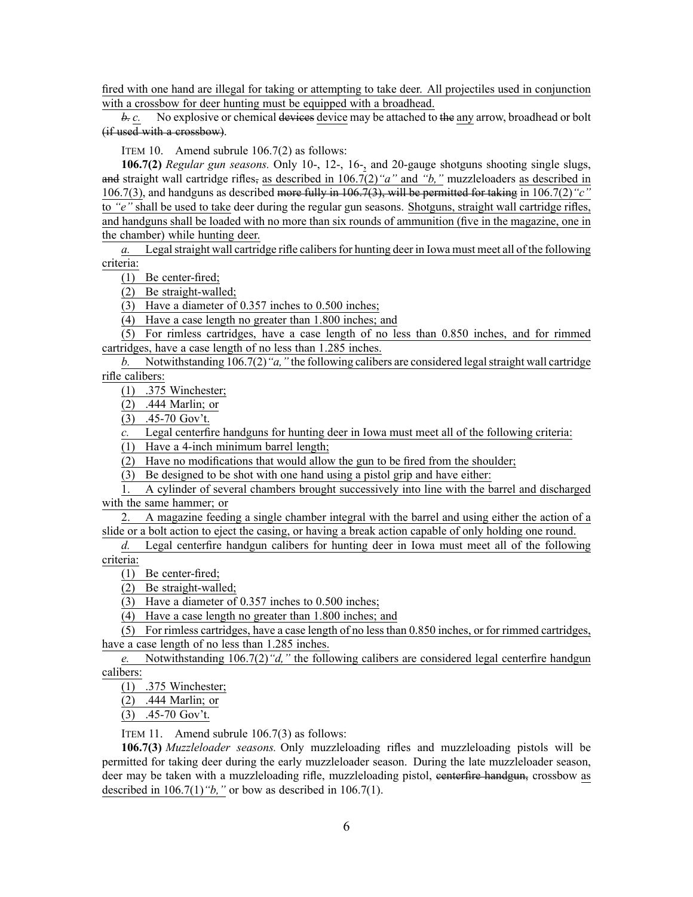fired with one hand are illegal for taking or attempting to take deer. All projectiles used in conjunction with <sup>a</sup> crossbow for deer hunting must be equipped with <sup>a</sup> broadhead.

*b. c.* No explosive or chemical devices device may be attached to the any arrow, broadhead or bolt (if used with <sup>a</sup> crossbow).

ITEM 10. Amend subrule 106.7(2) as follows:

**106.7(2)** *Regular gun seasons.* Only 10-, 12-, 16-, and 20-gauge shotguns shooting single slugs, and straight wall cartridge rifles, as described in 106.7(2)*"a"* and *"b,"* muzzleloaders as described in 106.7(3), and handguns as described more fully in [106.7\(3\)](https://www.legis.iowa.gov/docs/iac/rule/571.106.7.pdf), will be permitted for taking in 106.7(2)*"c"* to *"e"* shall be used to take deer during the regular gun seasons. Shotguns, straight wall cartridge rifles, and handguns shall be loaded with no more than six rounds of ammunition (five in the magazine, one in the chamber) while hunting deer.

*a.* Legal straight wall cartridge rifle calibers for hunting deer in Iowa must meet all of the following criteria:

(1) Be center-fired;

(2) Be straight-walled;

(3) Have <sup>a</sup> diameter of 0.357 inches to 0.500 inches;

(4) Have <sup>a</sup> case length no greater than 1.800 inches; and

(5) For rimless cartridges, have <sup>a</sup> case length of no less than 0.850 inches, and for rimmed cartridges, have <sup>a</sup> case length of no less than 1.285 inches.

*b.* Notwithstanding  $106.7(2)$  "*a,*" the following calibers are considered legal straight wall cartridge rifle calibers:

(1) .375 Winchester;

(2) .444 Marlin; or

(3) .45-70 Gov't.

Legal centerfire handguns for hunting deer in Iowa must meet all of the following criteria:

(1) Have <sup>a</sup> 4-inch minimum barrel length;

(2) Have no modifications that would allow the gun to be fired from the shoulder;

(3) Be designed to be shot with one hand using <sup>a</sup> pistol grip and have either:

1. A cylinder of several chambers brought successively into line with the barrel and discharged with the same hammer; or

2. A magazine feeding <sup>a</sup> single chamber integral with the barrel and using either the action of <sup>a</sup> slide or <sup>a</sup> bolt action to eject the casing, or having <sup>a</sup> break action capable of only holding one round.

*d.* Legal centerfire handgun calibers for hunting deer in Iowa must meet all of the following criteria:

(1) Be center-fired;

(2) Be straight-walled;

(3) Have <sup>a</sup> diameter of 0.357 inches to 0.500 inches;

(4) Have <sup>a</sup> case length no greater than 1.800 inches; and

 $(5)$  For rimless cartridges, have a case length of no less than 0.850 inches, or for rimmed cartridges, have <sup>a</sup> case length of no less than 1.285 inches.

*e.* Notwithstanding 106.7(2)*"d,"* the following calibers are considered legal centerfire handgun calibers:

(1) .375 Winchester;

(2) .444 Marlin; or

(3) .45-70 Gov't.

ITEM 11. Amend subrule 106.7(3) as follows:

**106.7(3)** *Muzzleloader seasons.* Only muzzleloading rifles and muzzleloading pistols will be permitted for taking deer during the early muzzleloader season. During the late muzzleloader season, deer may be taken with a muzzleloading rifle, muzzleloading pistol, centerfire handgun, crossbow as described in  $106.7(1)$  "*b*," or bow as described in  $106.7(1)$ .